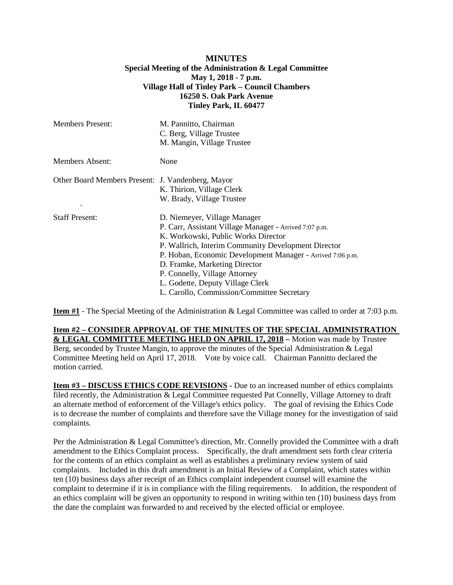## **MINUTES Special Meeting of the Administration & Legal Committee May 1, 2018 - 7 p.m. Village Hall of Tinley Park – Council Chambers 16250 S. Oak Park Avenue Tinley Park, IL 60477**

| <b>Members Present:</b>                                                       | M. Pannitto, Chairman<br>C. Berg, Village Trustee<br>M. Mangin, Village Trustee                                                                                                                                                                                                                                                                                                                        |
|-------------------------------------------------------------------------------|--------------------------------------------------------------------------------------------------------------------------------------------------------------------------------------------------------------------------------------------------------------------------------------------------------------------------------------------------------------------------------------------------------|
| Members Absent:                                                               | None                                                                                                                                                                                                                                                                                                                                                                                                   |
| Other Board Members Present: J. Vandenberg, Mayor<br>$\overline{\phantom{a}}$ | K. Thirion, Village Clerk<br>W. Brady, Village Trustee                                                                                                                                                                                                                                                                                                                                                 |
| <b>Staff Present:</b>                                                         | D. Niemeyer, Village Manager<br>P. Carr, Assistant Village Manager - Arrived 7:07 p.m.<br>K. Workowski, Public Works Director<br>P. Wallrich, Interim Community Development Director<br>P. Hoban, Economic Development Manager - Arrived 7:06 p.m.<br>D. Framke, Marketing Director<br>P. Connelly, Village Attorney<br>L. Godette, Deputy Village Clerk<br>L. Carollo, Commission/Committee Secretary |

**Item #1** - The Special Meeting of the Administration & Legal Committee was called to order at 7:03 p.m.

**Item #2 – CONSIDER APPROVAL OF THE MINUTES OF THE SPECIAL ADMINISTRATION & LEGAL COMMITTEE MEETING HELD ON APRIL 17, 2018 –** Motion was made by Trustee Berg, seconded by Trustee Mangin, to approve the minutes of the Special Administration & Legal Committee Meeting held on April 17, 2018. Vote by voice call. Chairman Pannitto declared the motion carried.

**Item #3 – DISCUSS ETHICS CODE REVISIONS -** Due to an increased number of ethics complaints filed recently, the Administration & Legal Committee requested Pat Connelly, Village Attorney to draft an alternate method of enforcement of the Village's ethics policy. The goal of revising the Ethics Code is to decrease the number of complaints and therefore save the Village money for the investigation of said complaints.

Per the Administration & Legal Committee's direction, Mr. Connelly provided the Committee with a draft amendment to the Ethics Complaint process. Specifically, the draft amendment sets forth clear criteria for the contents of an ethics complaint as well as establishes a preliminary review system of said complaints. Included in this draft amendment is an Initial Review of a Complaint, which states within ten (10) business days after receipt of an Ethics complaint independent counsel will examine the complaint to determine if it is in compliance with the filing requirements. In addition, the respondent of an ethics complaint will be given an opportunity to respond in writing within ten (10) business days from the date the complaint was forwarded to and received by the elected official or employee.